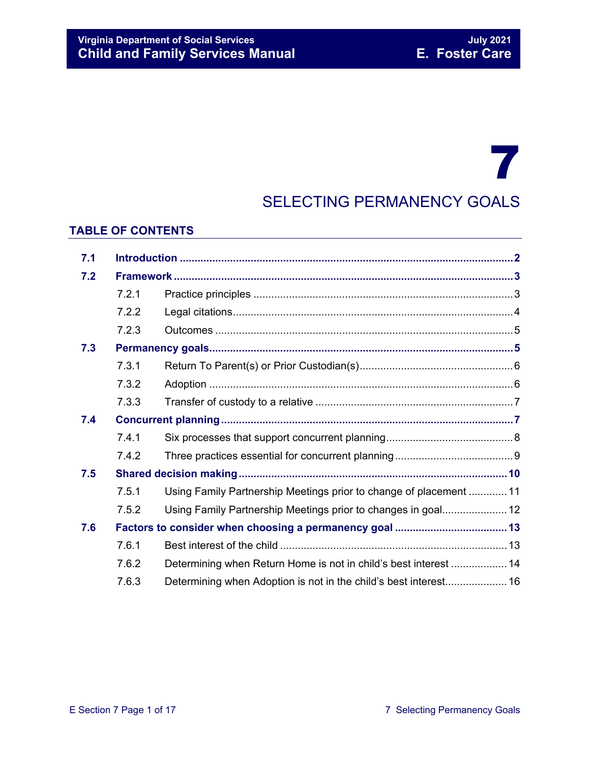# 7 SELECTING PERMANENCY GOALS

#### **TABLE OF CONTENTS**

| 7.1 |       |                                                                    |  |
|-----|-------|--------------------------------------------------------------------|--|
| 7.2 |       |                                                                    |  |
|     | 7.2.1 |                                                                    |  |
|     | 7.2.2 |                                                                    |  |
|     | 7.2.3 |                                                                    |  |
| 7.3 |       |                                                                    |  |
|     | 7.3.1 |                                                                    |  |
|     | 7.3.2 |                                                                    |  |
|     | 7.3.3 |                                                                    |  |
| 7.4 |       |                                                                    |  |
|     | 7.4.1 |                                                                    |  |
|     | 7.4.2 |                                                                    |  |
| 7.5 |       |                                                                    |  |
|     | 7.5.1 | Using Family Partnership Meetings prior to change of placement  11 |  |
|     | 7.5.2 | Using Family Partnership Meetings prior to changes in goal 12      |  |
| 7.6 |       |                                                                    |  |
|     | 7.6.1 |                                                                    |  |
|     | 7.6.2 | Determining when Return Home is not in child's best interest  14   |  |
|     | 7.6.3 |                                                                    |  |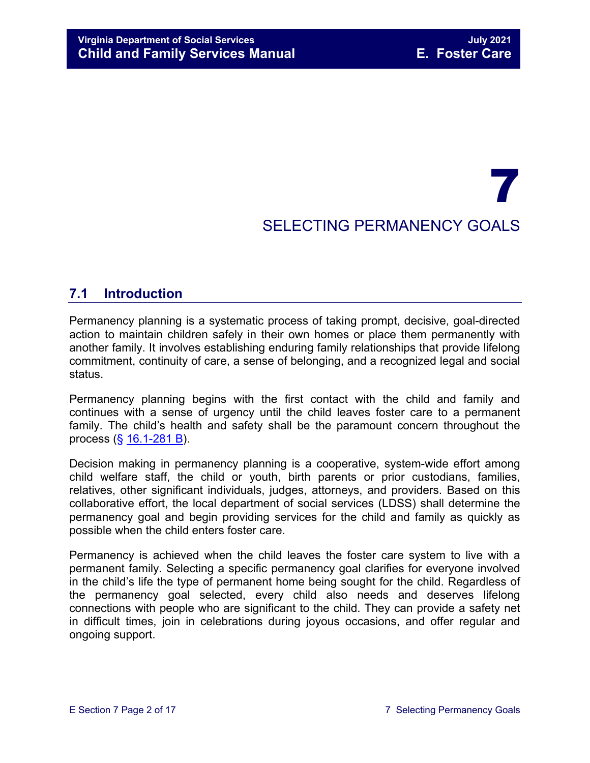## 7 SELECTING PERMANENCY GOALS

## <span id="page-1-0"></span>**7.1 Introduction**

Permanency planning is a systematic process of taking prompt, decisive, goal-directed action to maintain children safely in their own homes or place them permanently with another family. It involves establishing enduring family relationships that provide lifelong commitment, continuity of care, a sense of belonging, and a recognized legal and social status.

Permanency planning begins with the first contact with the child and family and continues with a sense of urgency until the child leaves foster care to a permanent family. The child's health and safety shall be the paramount concern throughout the process (§ [16.1-281 B\)](https://law.lis.virginia.gov/vacode/16.1-281/).

Decision making in permanency planning is a cooperative, system-wide effort among child welfare staff, the child or youth, birth parents or prior custodians, families, relatives, other significant individuals, judges, attorneys, and providers. Based on this collaborative effort, the local department of social services (LDSS) shall determine the permanency goal and begin providing services for the child and family as quickly as possible when the child enters foster care.

Permanency is achieved when the child leaves the foster care system to live with a permanent family. Selecting a specific permanency goal clarifies for everyone involved in the child's life the type of permanent home being sought for the child. Regardless of the permanency goal selected, every child also needs and deserves lifelong connections with people who are significant to the child. They can provide a safety net in difficult times, join in celebrations during joyous occasions, and offer regular and ongoing support.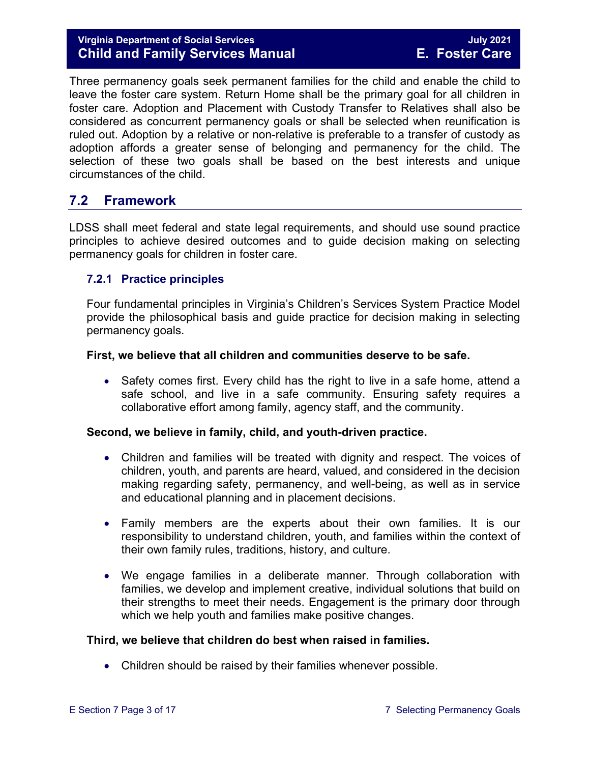#### **Virginia Department of Social Services July 2021 Child and Family Services Manual E. Foster Care**

Three permanency goals seek permanent families for the child and enable the child to leave the foster care system. Return Home shall be the primary goal for all children in foster care. Adoption and Placement with Custody Transfer to Relatives shall also be considered as concurrent permanency goals or shall be selected when reunification is ruled out. Adoption by a relative or non-relative is preferable to a transfer of custody as adoption affords a greater sense of belonging and permanency for the child. The selection of these two goals shall be based on the best interests and unique circumstances of the child.

## <span id="page-2-0"></span>**7.2 Framework**

LDSS shall meet federal and state legal requirements, and should use sound practice principles to achieve desired outcomes and to guide decision making on selecting permanency goals for children in foster care.

#### <span id="page-2-1"></span>**7.2.1 Practice principles**

Four fundamental principles in Virginia's Children's Services System Practice Model provide the philosophical basis and guide practice for decision making in selecting permanency goals.

#### **First, we believe that all children and communities deserve to be safe.**

• Safety comes first. Every child has the right to live in a safe home, attend a safe school, and live in a safe community. Ensuring safety requires a collaborative effort among family, agency staff, and the community.

#### **Second, we believe in family, child, and youth-driven practice.**

- Children and families will be treated with dignity and respect. The voices of children, youth, and parents are heard, valued, and considered in the decision making regarding safety, permanency, and well-being, as well as in service and educational planning and in placement decisions.
- Family members are the experts about their own families. It is our responsibility to understand children, youth, and families within the context of their own family rules, traditions, history, and culture.
- We engage families in a deliberate manner. Through collaboration with families, we develop and implement creative, individual solutions that build on their strengths to meet their needs. Engagement is the primary door through which we help youth and families make positive changes.

#### **Third, we believe that children do best when raised in families.**

• Children should be raised by their families whenever possible.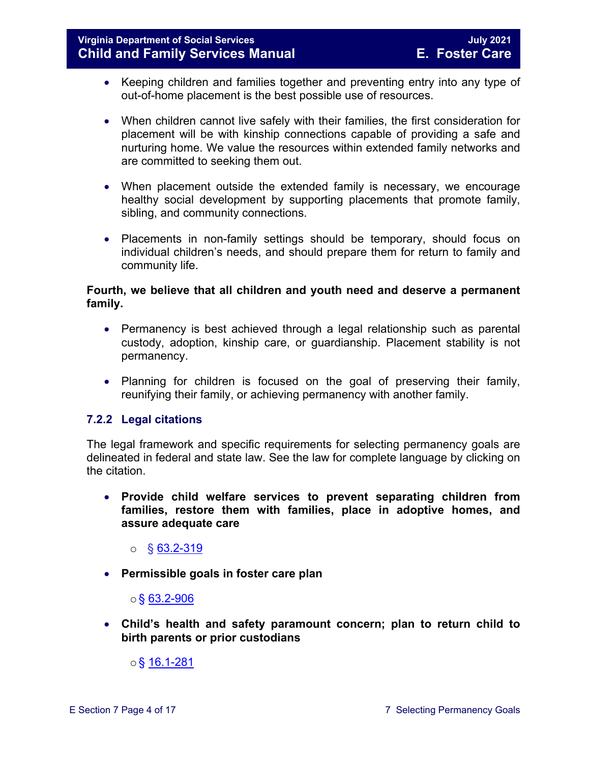- Keeping children and families together and preventing entry into any type of out-of-home placement is the best possible use of resources.
- When children cannot live safely with their families, the first consideration for placement will be with kinship connections capable of providing a safe and nurturing home. We value the resources within extended family networks and are committed to seeking them out.
- When placement outside the extended family is necessary, we encourage healthy social development by supporting placements that promote family, sibling, and community connections.
- Placements in non-family settings should be temporary, should focus on individual children's needs, and should prepare them for return to family and community life.

#### **Fourth, we believe that all children and youth need and deserve a permanent family.**

- Permanency is best achieved through a legal relationship such as parental custody, adoption, kinship care, or guardianship. Placement stability is not permanency.
- Planning for children is focused on the goal of preserving their family, reunifying their family, or achieving permanency with another family.

#### <span id="page-3-0"></span>**7.2.2 Legal citations**

The legal framework and specific requirements for selecting permanency goals are delineated in federal and state law. See the law for complete language by clicking on the citation.

• **Provide child welfare services to prevent separating children from families, restore them with families, place in adoptive homes, and assure adequate care** 

 $\circ$  § [63.2-319](https://law.lis.virginia.gov/vacode/63.2-319/)

• **Permissible goals in foster care plan** 

#### $\circ$ § [63.2-906](https://law.lis.virginia.gov/vacode/63.2-906/)

• **Child's health and safety paramount concern; plan to return child to birth parents or prior custodians**

 $\circ$ § [16.1-281](https://law.lis.virginia.gov/vacode/16.1-281/)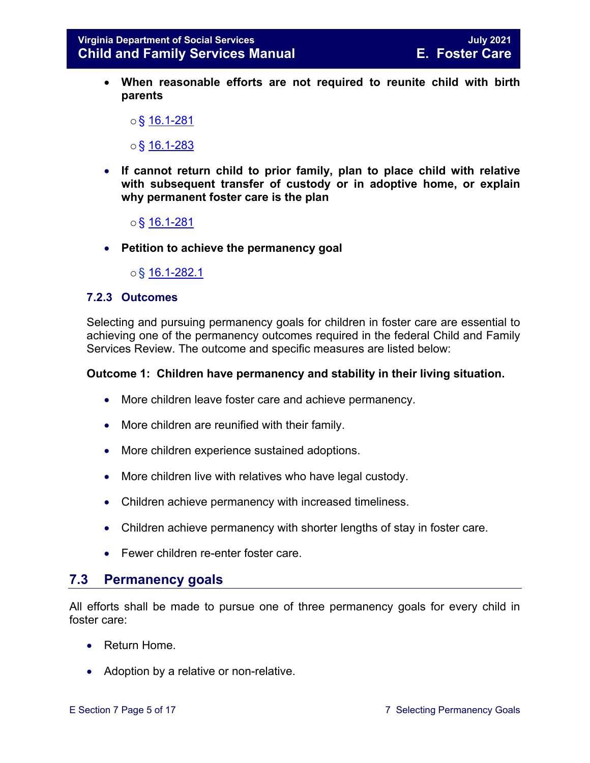• **When reasonable efforts are not required to reunite child with birth parents** 

 $\circ$  \$ 16.1-281

 $\circ$ § [16.1-283](https://law.lis.virginia.gov/vacode/16.1-283/)

- **If cannot return child to prior family, plan to place child with relative with subsequent transfer of custody or in adoptive home, or explain why permanent foster care is the plan** 
	- $\circ$ § [16.1-281](https://law.lis.virginia.gov/vacode/16.1-281/)
- **Petition to achieve the permanency goal**

o§ [16.1-282.1](https://law.lis.virginia.gov/vacode/16.1-282.1/)

#### <span id="page-4-0"></span>**7.2.3 Outcomes**

Selecting and pursuing permanency goals for children in foster care are essential to achieving one of the permanency outcomes required in the federal Child and Family Services Review. The outcome and specific measures are listed below:

#### **Outcome 1: Children have permanency and stability in their living situation.**

- More children leave foster care and achieve permanency.
- More children are reunified with their family.
- More children experience sustained adoptions.
- More children live with relatives who have legal custody.
- Children achieve permanency with increased timeliness.
- Children achieve permanency with shorter lengths of stay in foster care.
- Fewer children re-enter foster care.

#### <span id="page-4-1"></span>**7.3 Permanency goals**

All efforts shall be made to pursue one of three permanency goals for every child in foster care:

- Return Home.
- Adoption by a relative or non-relative.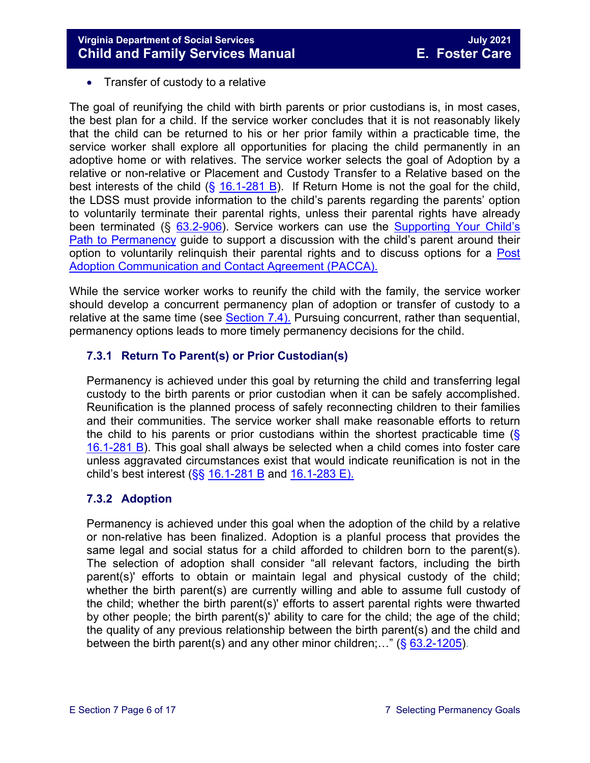• Transfer of custody to a relative

The goal of reunifying the child with birth parents or prior custodians is, in most cases, the best plan for a child. If the service worker concludes that it is not reasonably likely that the child can be returned to his or her prior family within a practicable time, the service worker shall explore all opportunities for placing the child permanently in an adoptive home or with relatives. The service worker selects the goal of Adoption by a relative or non-relative or Placement and Custody Transfer to a Relative based on the best interests of the child  $(\frac{6}{16.1} - 281 B)$ . If Return Home is not the goal for the child, the LDSS must provide information to the child's parents regarding the parents' option to voluntarily terminate their parental rights, unless their parental rights have already been terminated (§ [63.2-906\)](https://law.lis.virginia.gov/vacode/title63.2/chapter9/section63.2-906/). Service workers can use the Supporting Your Child's [Path to Permanency](https://fusion.dss.virginia.gov/LinkClick.aspx?fileticket=QWtCbGXOUP0%3d&portalid=30) guide to support a discussion with the child's parent around their option to voluntarily relinquish their parental rights and to discuss options for a [Post](https://fusion.dss.virginia.gov/Portals/%5Bdfs%5D/Files/Adoption/PACCA.pdf)  [Adoption Communication and Contact Agreement \(PACCA\).](https://fusion.dss.virginia.gov/Portals/%5Bdfs%5D/Files/Adoption/PACCA.pdf)

While the service worker works to reunify the child with the family, the service worker should develop a concurrent permanency plan of adoption or transfer of custody to a relative at the same time (see [Section 7.4\).](#page-6-1) Pursuing concurrent, rather than sequential, permanency options leads to more timely permanency decisions for the child.

#### <span id="page-5-0"></span>**7.3.1 Return To Parent(s) or Prior Custodian(s)**

Permanency is achieved under this goal by returning the child and transferring legal custody to the birth parents or prior custodian when it can be safely accomplished. Reunification is the planned process of safely reconnecting children to their families and their communities. The service worker shall make reasonable efforts to return the child to his parents or prior custodians within the shortest practicable time  $(\S$ [16.1-281 B\)](https://law.lis.virginia.gov/vacode/16.1-281/). This goal shall always be selected when a child comes into foster care unless aggravated circumstances exist that would indicate reunification is not in the child's best interest ( $\S$ § [16.1-281 B](https://law.lis.virginia.gov/vacode/16.1-281/) and [16.1-283 E\).](https://law.lis.virginia.gov/vacode/16.1-283/)

#### <span id="page-5-1"></span>**7.3.2 Adoption**

Permanency is achieved under this goal when the adoption of the child by a relative or non-relative has been finalized. Adoption is a planful process that provides the same legal and social status for a child afforded to children born to the parent(s). The selection of adoption shall consider "all relevant factors, including the birth parent(s)' efforts to obtain or maintain legal and physical custody of the child; whether the birth parent(s) are currently willing and able to assume full custody of the child; whether the birth parent(s)' efforts to assert parental rights were thwarted by other people; the birth parent(s)' ability to care for the child; the age of the child; the quality of any previous relationship between the birth parent(s) and the child and between the birth parent(s) and any other minor children;..." ( $\S$  [63.2-1205\)](https://law.lis.virginia.gov/vacode/63.2-1205/).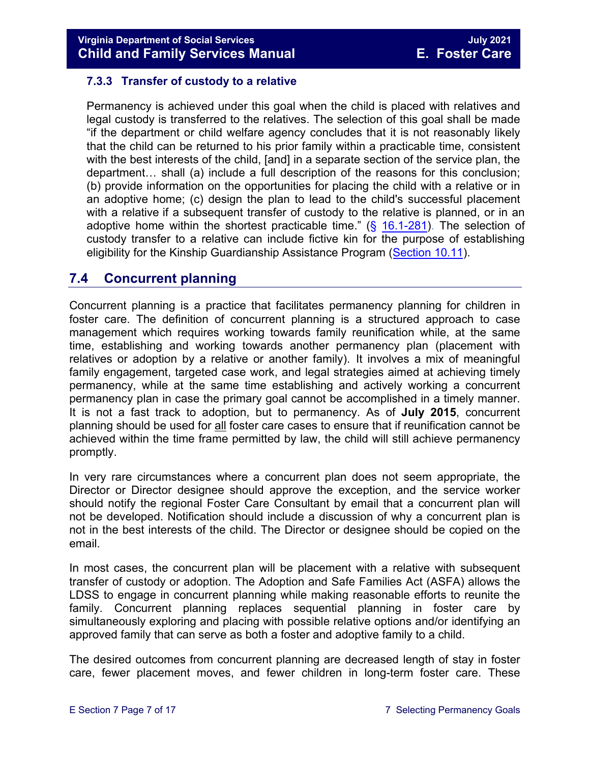#### <span id="page-6-0"></span>**7.3.3 Transfer of custody to a relative**

Permanency is achieved under this goal when the child is placed with relatives and legal custody is transferred to the relatives. The selection of this goal shall be made "if the department or child welfare agency concludes that it is not reasonably likely that the child can be returned to his prior family within a practicable time, consistent with the best interests of the child, [and] in a separate section of the service plan, the department… shall (a) include a full description of the reasons for this conclusion; (b) provide information on the opportunities for placing the child with a relative or in an adoptive home; (c) design the plan to lead to the child's successful placement with a relative if a subsequent transfer of custody to the relative is planned, or in an adoptive home within the shortest practicable time."  $(S$  [16.1-281\).](https://law.lis.virginia.gov/vacode/16.1-281/) The selection of custody transfer to a relative can include fictive kin for the purpose of establishing eligibility for the Kinship Guardianship Assistance Program [\(Section 10.11\)](https://fusion.dss.virginia.gov/Portals/%5bdfs%5d/Files/DFS%20Manuals/Foster%20Care%20Manuals/Foster%20Care%20Manual%2007-2020/Final%20Foster%20Care%20Manual%2007-2020/section_10_achieving_permanency_goal_custody_transfer_to_relatives.pdf#page=20).

## <span id="page-6-1"></span>**7.4 Concurrent planning**

Concurrent planning is a practice that facilitates permanency planning for children in foster care. The definition of concurrent planning is a structured approach to case management which requires working towards family reunification while, at the same time, establishing and working towards another permanency plan (placement with relatives or adoption by a relative or another family). It involves a mix of meaningful family engagement, targeted case work, and legal strategies aimed at achieving timely permanency, while at the same time establishing and actively working a concurrent permanency plan in case the primary goal cannot be accomplished in a timely manner. It is not a fast track to adoption, but to permanency. As of **July 2015**, concurrent planning should be used for all foster care cases to ensure that if reunification cannot be achieved within the time frame permitted by law, the child will still achieve permanency promptly.

In very rare circumstances where a concurrent plan does not seem appropriate, the Director or Director designee should approve the exception, and the service worker should notify the regional Foster Care Consultant by email that a concurrent plan will not be developed. Notification should include a discussion of why a concurrent plan is not in the best interests of the child. The Director or designee should be copied on the email.

In most cases, the concurrent plan will be placement with a relative with subsequent transfer of custody or adoption. The Adoption and Safe Families Act (ASFA) allows the LDSS to engage in concurrent planning while making reasonable efforts to reunite the family. Concurrent planning replaces sequential planning in foster care by simultaneously exploring and placing with possible relative options and/or identifying an approved family that can serve as both a foster and adoptive family to a child.

The desired outcomes from concurrent planning are decreased length of stay in foster care, fewer placement moves, and fewer children in long-term foster care. These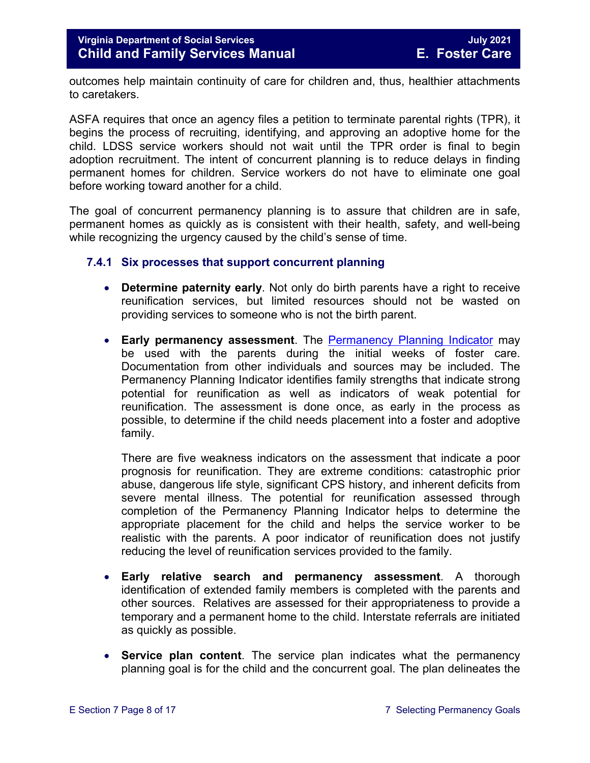outcomes help maintain continuity of care for children and, thus, healthier attachments to caretakers.

ASFA requires that once an agency files a petition to terminate parental rights (TPR), it begins the process of recruiting, identifying, and approving an adoptive home for the child. LDSS service workers should not wait until the TPR order is final to begin adoption recruitment. The intent of concurrent planning is to reduce delays in finding permanent homes for children. Service workers do not have to eliminate one goal before working toward another for a child.

The goal of concurrent permanency planning is to assure that children are in safe, permanent homes as quickly as is consistent with their health, safety, and well-being while recognizing the urgency caused by the child's sense of time.

#### <span id="page-7-0"></span>**7.4.1 Six processes that support concurrent planning**

- **Determine paternity early**. Not only do birth parents have a right to receive reunification services, but limited resources should not be wasted on providing services to someone who is not the birth parent.
- **Early permanency assessment**. The Permanency [Planning Indicator](https://fusion.dss.virginia.gov/Portals/%5bdfs%5d/Files/DFS%20FORMS/Foster%20Care%20Forms/Permanency%20Planning%20Indicator.pdf) may be used with the parents during the initial weeks of foster care. Documentation from other individuals and sources may be included. The Permanency Planning Indicator identifies family strengths that indicate strong potential for reunification as well as indicators of weak potential for reunification. The assessment is done once, as early in the process as possible, to determine if the child needs placement into a foster and adoptive family.

There are five weakness indicators on the assessment that indicate a poor prognosis for reunification. They are extreme conditions: catastrophic prior abuse, dangerous life style, significant CPS history, and inherent deficits from severe mental illness. The potential for reunification assessed through completion of the Permanency Planning Indicator helps to determine the appropriate placement for the child and helps the service worker to be realistic with the parents. A poor indicator of reunification does not justify reducing the level of reunification services provided to the family.

- **Early relative search and permanency assessment**. A thorough identification of extended family members is completed with the parents and other sources. Relatives are assessed for their appropriateness to provide a temporary and a permanent home to the child. Interstate referrals are initiated as quickly as possible.
- **Service plan content**. The service plan indicates what the permanency planning goal is for the child and the concurrent goal. The plan delineates the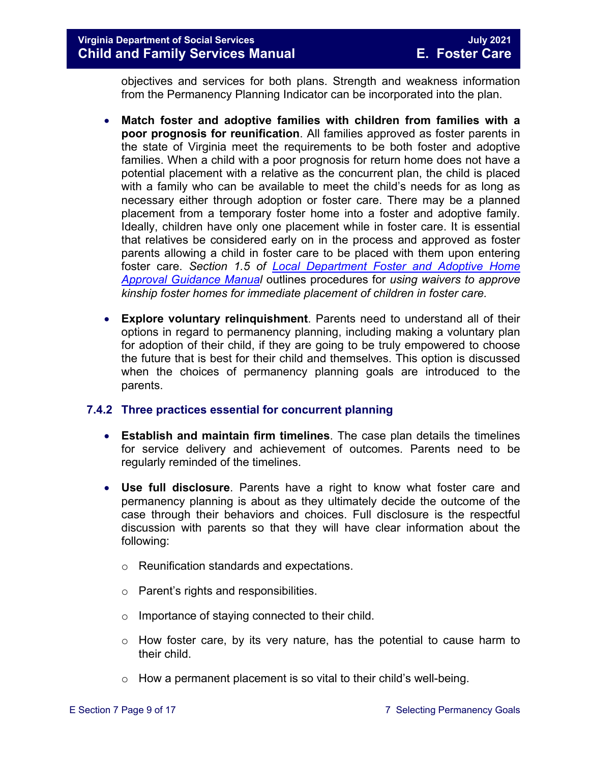#### **Virginia Department of Social Services July 2021 Child and Family Services Manual**

objectives and services for both plans. Strength and weakness information from the Permanency Planning Indicator can be incorporated into the plan.

- **Match foster and adoptive families with children from families with a poor prognosis for reunification**. All families approved as foster parents in the state of Virginia meet the requirements to be both foster and adoptive families. When a child with a poor prognosis for return home does not have a potential placement with a relative as the concurrent plan, the child is placed with a family who can be available to meet the child's needs for as long as necessary either through adoption or foster care. There may be a planned placement from a temporary foster home into a foster and adoptive family. Ideally, children have only one placement while in foster care. It is essential that relatives be considered early on in the process and approved as foster parents allowing a child in foster care to be placed with them upon entering foster care. *Section 1.5 of [Local Department Foster and Adoptive Home](https://fusion.dss.virginia.gov/dfs/DFS-Home/Family-Recruitment/Family-Recruitment-Guidance)  [Approval Guidance Manual](https://fusion.dss.virginia.gov/dfs/DFS-Home/Family-Recruitment/Family-Recruitment-Guidance)* outlines procedures for *using waivers to approve kinship foster homes for immediate placement of children in foster care.*
- **Explore voluntary relinquishment**. Parents need to understand all of their options in regard to permanency planning, including making a voluntary plan for adoption of their child, if they are going to be truly empowered to choose the future that is best for their child and themselves. This option is discussed when the choices of permanency planning goals are introduced to the parents.

#### <span id="page-8-0"></span>**7.4.2 Three practices essential for concurrent planning**

- **Establish and maintain firm timelines**. The case plan details the timelines for service delivery and achievement of outcomes. Parents need to be regularly reminded of the timelines.
- **Use full disclosure**. Parents have a right to know what foster care and permanency planning is about as they ultimately decide the outcome of the case through their behaviors and choices. Full disclosure is the respectful discussion with parents so that they will have clear information about the following:
	- o Reunification standards and expectations.
	- o Parent's rights and responsibilities.
	- o Importance of staying connected to their child.
	- o How foster care, by its very nature, has the potential to cause harm to their child.
	- $\circ$  How a permanent placement is so vital to their child's well-being.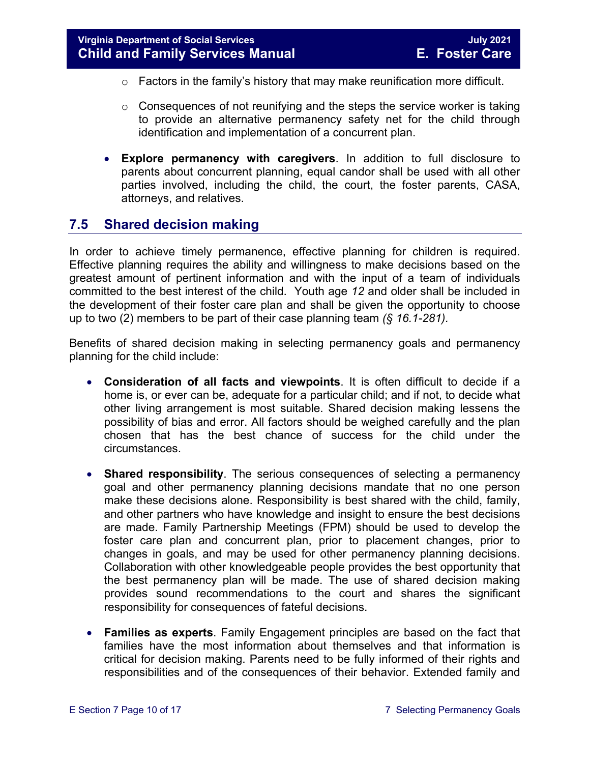- o Factors in the family's history that may make reunification more difficult.
- $\circ$  Consequences of not reunifying and the steps the service worker is taking to provide an alternative permanency safety net for the child through identification and implementation of a concurrent plan.
- **Explore permanency with caregivers**. In addition to full disclosure to parents about concurrent planning, equal candor shall be used with all other parties involved, including the child, the court, the foster parents, CASA, attorneys, and relatives.

## <span id="page-9-0"></span>**7.5 Shared decision making**

In order to achieve timely permanence, effective planning for children is required. Effective planning requires the ability and willingness to make decisions based on the greatest amount of pertinent information and with the input of a team of individuals committed to the best interest of the child. Youth age *12* and older shall be included in the development of their foster care plan and shall be given the opportunity to choose up to two (2) members to be part of their case planning team *(§ 16.1-281).*

Benefits of shared decision making in selecting permanency goals and permanency planning for the child include:

- **Consideration of all facts and viewpoints**. It is often difficult to decide if a home is, or ever can be, adequate for a particular child; and if not, to decide what other living arrangement is most suitable. Shared decision making lessens the possibility of bias and error. All factors should be weighed carefully and the plan chosen that has the best chance of success for the child under the circumstances.
- **Shared responsibility**. The serious consequences of selecting a permanency goal and other permanency planning decisions mandate that no one person make these decisions alone. Responsibility is best shared with the child, family, and other partners who have knowledge and insight to ensure the best decisions are made. Family Partnership Meetings (FPM) should be used to develop the foster care plan and concurrent plan, prior to placement changes, prior to changes in goals, and may be used for other permanency planning decisions. Collaboration with other knowledgeable people provides the best opportunity that the best permanency plan will be made. The use of shared decision making provides sound recommendations to the court and shares the significant responsibility for consequences of fateful decisions.
- **Families as experts**. Family Engagement principles are based on the fact that families have the most information about themselves and that information is critical for decision making. Parents need to be fully informed of their rights and responsibilities and of the consequences of their behavior. Extended family and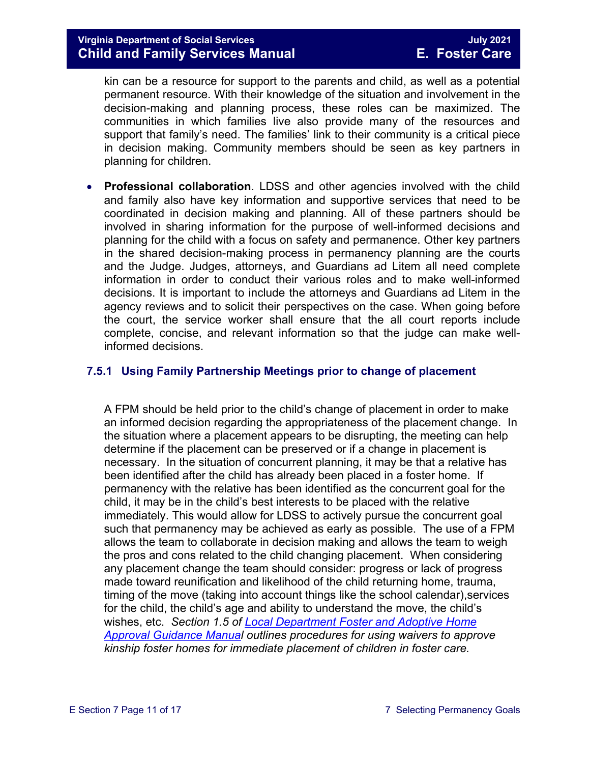kin can be a resource for support to the parents and child, as well as a potential permanent resource. With their knowledge of the situation and involvement in the decision-making and planning process, these roles can be maximized. The communities in which families live also provide many of the resources and support that family's need. The families' link to their community is a critical piece in decision making. Community members should be seen as key partners in planning for children.

• **Professional collaboration**. LDSS and other agencies involved with the child and family also have key information and supportive services that need to be coordinated in decision making and planning. All of these partners should be involved in sharing information for the purpose of well-informed decisions and planning for the child with a focus on safety and permanence. Other key partners in the shared decision-making process in permanency planning are the courts and the Judge. Judges, attorneys, and Guardians ad Litem all need complete information in order to conduct their various roles and to make well-informed decisions. It is important to include the attorneys and Guardians ad Litem in the agency reviews and to solicit their perspectives on the case. When going before the court, the service worker shall ensure that the all court reports include complete, concise, and relevant information so that the judge can make wellinformed decisions.

#### <span id="page-10-0"></span>**7.5.1 Using Family Partnership Meetings prior to change of placement**

A FPM should be held prior to the child's change of placement in order to make an informed decision regarding the appropriateness of the placement change. In the situation where a placement appears to be disrupting, the meeting can help determine if the placement can be preserved or if a change in placement is necessary. In the situation of concurrent planning, it may be that a relative has been identified after the child has already been placed in a foster home. If permanency with the relative has been identified as the concurrent goal for the child, it may be in the child's best interests to be placed with the relative immediately. This would allow for LDSS to actively pursue the concurrent goal such that permanency may be achieved as early as possible. The use of a FPM allows the team to collaborate in decision making and allows the team to weigh the pros and cons related to the child changing placement. When considering any placement change the team should consider: progress or lack of progress made toward reunification and likelihood of the child returning home, trauma, timing of the move (taking into account things like the school calendar),services for the child, the child's age and ability to understand the move, the child's wishes, etc. *Section 1.5 of [Local Department Foster and Adoptive Home](https://fusion.dss.virginia.gov/dfs/DFS-Home/Family-Recruitment/Family-Recruitment-Guidance)  [Approval Guidance Manual](https://fusion.dss.virginia.gov/dfs/DFS-Home/Family-Recruitment/Family-Recruitment-Guidance) outlines procedures for using waivers to approve kinship foster homes for immediate placement of children in foster care.*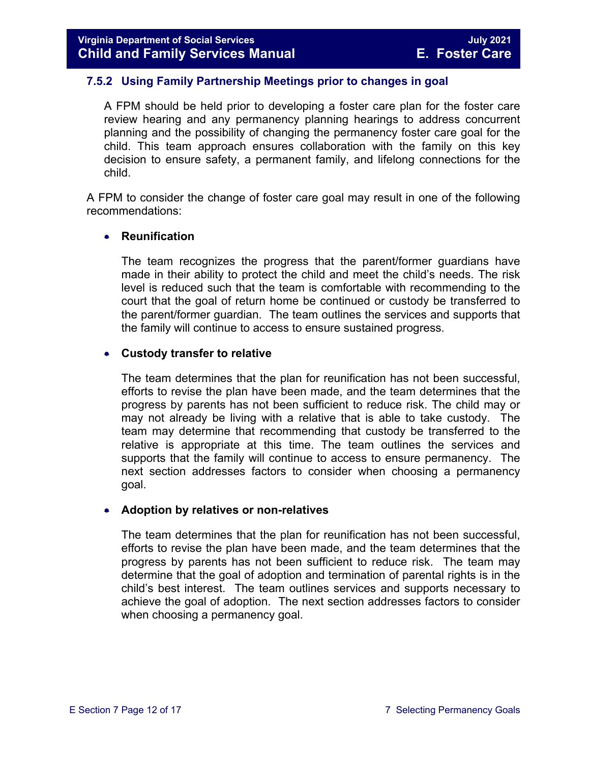#### <span id="page-11-0"></span>**7.5.2 Using Family Partnership Meetings prior to changes in goal**

A FPM should be held prior to developing a foster care plan for the foster care review hearing and any permanency planning hearings to address concurrent planning and the possibility of changing the permanency foster care goal for the child. This team approach ensures collaboration with the family on this key decision to ensure safety, a permanent family, and lifelong connections for the child.

A FPM to consider the change of foster care goal may result in one of the following recommendations:

#### • **Reunification**

The team recognizes the progress that the parent/former guardians have made in their ability to protect the child and meet the child's needs. The risk level is reduced such that the team is comfortable with recommending to the court that the goal of return home be continued or custody be transferred to the parent/former guardian. The team outlines the services and supports that the family will continue to access to ensure sustained progress.

#### • **Custody transfer to relative**

The team determines that the plan for reunification has not been successful, efforts to revise the plan have been made, and the team determines that the progress by parents has not been sufficient to reduce risk. The child may or may not already be living with a relative that is able to take custody. The team may determine that recommending that custody be transferred to the relative is appropriate at this time. The team outlines the services and supports that the family will continue to access to ensure permanency. The next section addresses factors to consider when choosing a permanency goal.

#### • **Adoption by relatives or non-relatives**

The team determines that the plan for reunification has not been successful, efforts to revise the plan have been made, and the team determines that the progress by parents has not been sufficient to reduce risk. The team may determine that the goal of adoption and termination of parental rights is in the child's best interest. The team outlines services and supports necessary to achieve the goal of adoption. The next section addresses factors to consider when choosing a permanency goal.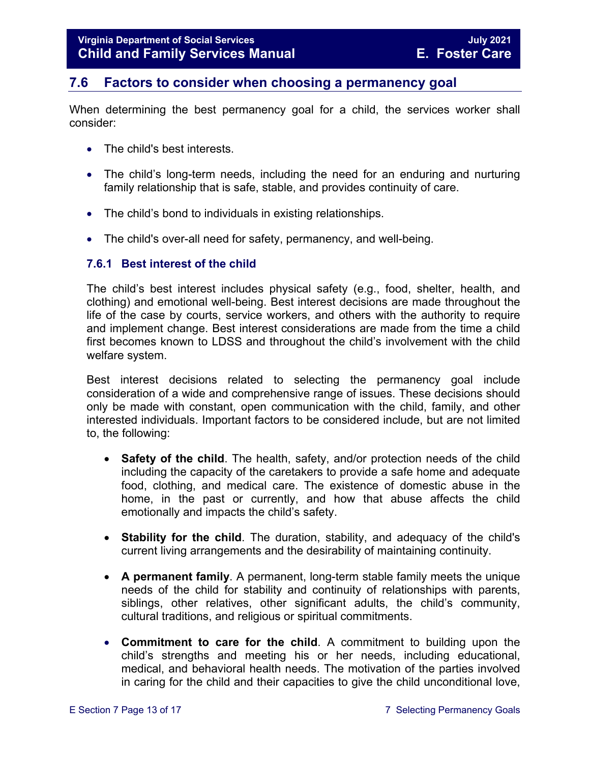## <span id="page-12-0"></span>**7.6 Factors to consider when choosing a permanency goal**

When determining the best permanency goal for a child, the services worker shall consider:

- The child's best interests.
- The child's long-term needs, including the need for an enduring and nurturing family relationship that is safe, stable, and provides continuity of care.
- The child's bond to individuals in existing relationships.
- The child's over-all need for safety, permanency, and well-being.

#### <span id="page-12-1"></span>**7.6.1 Best interest of the child**

The child's best interest includes physical safety (e.g., food, shelter, health, and clothing) and emotional well-being. Best interest decisions are made throughout the life of the case by courts, service workers, and others with the authority to require and implement change. Best interest considerations are made from the time a child first becomes known to LDSS and throughout the child's involvement with the child welfare system.

Best interest decisions related to selecting the permanency goal include consideration of a wide and comprehensive range of issues. These decisions should only be made with constant, open communication with the child, family, and other interested individuals. Important factors to be considered include, but are not limited to, the following:

- **Safety of the child**. The health, safety, and/or protection needs of the child including the capacity of the caretakers to provide a safe home and adequate food, clothing, and medical care. The existence of domestic abuse in the home, in the past or currently, and how that abuse affects the child emotionally and impacts the child's safety.
- **Stability for the child**. The duration, stability, and adequacy of the child's current living arrangements and the desirability of maintaining continuity.
- **A permanent family**. A permanent, long-term stable family meets the unique needs of the child for stability and continuity of relationships with parents, siblings, other relatives, other significant adults, the child's community, cultural traditions, and religious or spiritual commitments.
- **Commitment to care for the child**. A commitment to building upon the child's strengths and meeting his or her needs, including educational, medical, and behavioral health needs. The motivation of the parties involved in caring for the child and their capacities to give the child unconditional love,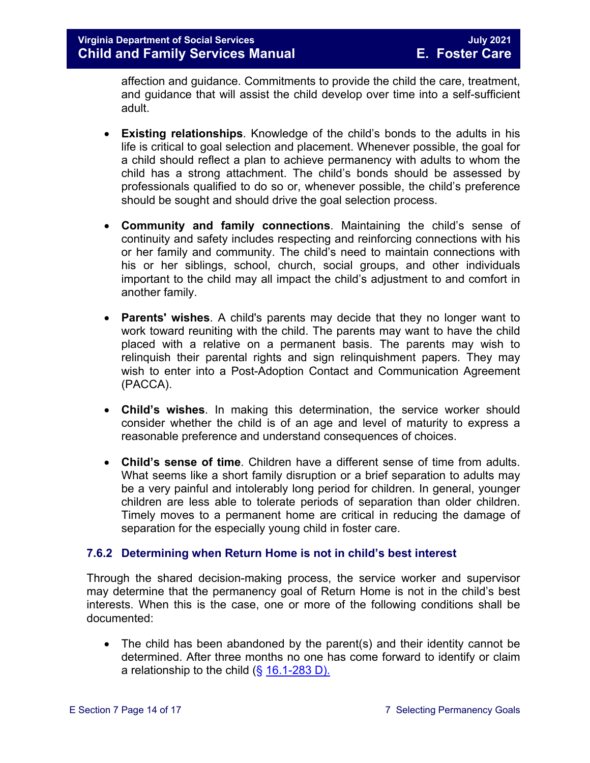affection and guidance. Commitments to provide the child the care, treatment, and guidance that will assist the child develop over time into a self-sufficient adult.

- **Existing relationships**. Knowledge of the child's bonds to the adults in his life is critical to goal selection and placement. Whenever possible, the goal for a child should reflect a plan to achieve permanency with adults to whom the child has a strong attachment. The child's bonds should be assessed by professionals qualified to do so or, whenever possible, the child's preference should be sought and should drive the goal selection process.
- **Community and family connections**. Maintaining the child's sense of continuity and safety includes respecting and reinforcing connections with his or her family and community. The child's need to maintain connections with his or her siblings, school, church, social groups, and other individuals important to the child may all impact the child's adjustment to and comfort in another family.
- **Parents' wishes**. A child's parents may decide that they no longer want to work toward reuniting with the child. The parents may want to have the child placed with a relative on a permanent basis. The parents may wish to relinquish their parental rights and sign relinquishment papers. They may wish to enter into a Post-Adoption Contact and Communication Agreement (PACCA).
- **Child's wishes**. In making this determination, the service worker should consider whether the child is of an age and level of maturity to express a reasonable preference and understand consequences of choices.
- **Child's sense of time**. Children have a different sense of time from adults. What seems like a short family disruption or a brief separation to adults may be a very painful and intolerably long period for children. In general, younger children are less able to tolerate periods of separation than older children. Timely moves to a permanent home are critical in reducing the damage of separation for the especially young child in foster care.

#### <span id="page-13-0"></span>**7.6.2 Determining when Return Home is not in child's best interest**

Through the shared decision-making process, the service worker and supervisor may determine that the permanency goal of Return Home is not in the child's best interests. When this is the case, one or more of the following conditions shall be documented:

• The child has been abandoned by the parent(s) and their identity cannot be determined. After three months no one has come forward to identify or claim a relationship to the child  $(\S 16.1\n-283 D)$ .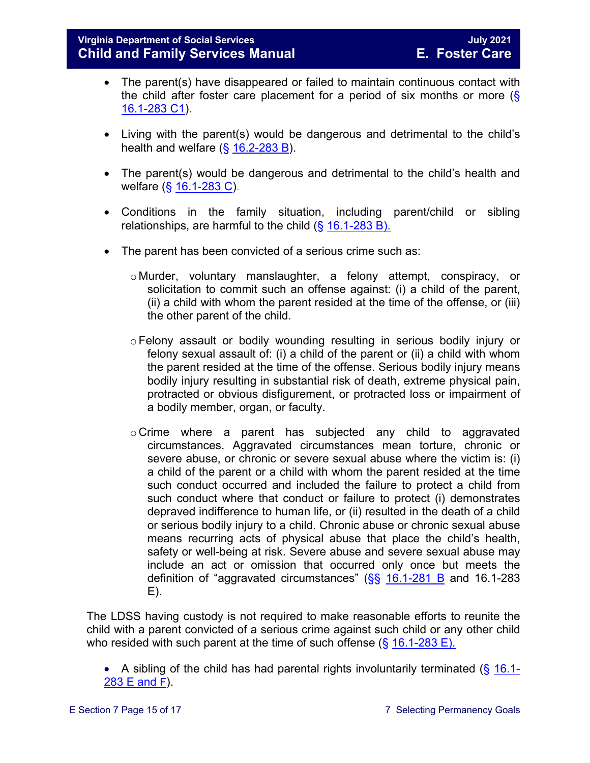- The parent(s) have disappeared or failed to maintain continuous contact with the child after foster care placement for a period of six months or more  $(\S$ [16.1-283 C1\)](https://law.lis.virginia.gov/vacode/16.1-283/).
- Living with the parent(s) would be dangerous and detrimental to the child's health and welfare  $(\frac{6}{5}$  [16.2-283 B\)](https://law.lis.virginia.gov/vacode/16.1-283/).
- The parent(s) would be dangerous and detrimental to the child's health and welfare (§ [16.1-283 C\)](https://law.lis.virginia.gov/vacode/16.1-283/).
- Conditions in the family situation, including parent/child or sibling relationships, are harmful to the child  $(\S 16.1-283 B)$ .
- The parent has been convicted of a serious crime such as:
	- o Murder, voluntary manslaughter, a felony attempt, conspiracy, or solicitation to commit such an offense against: (i) a child of the parent, (ii) a child with whom the parent resided at the time of the offense, or (iii) the other parent of the child.
	- oFelony assault or bodily wounding resulting in serious bodily injury or felony sexual assault of: (i) a child of the parent or (ii) a child with whom the parent resided at the time of the offense. Serious bodily injury means bodily injury resulting in substantial risk of death, extreme physical pain, protracted or obvious disfigurement, or protracted loss or impairment of a bodily member, organ, or faculty.
	- o Crime where a parent has subjected any child to aggravated circumstances. Aggravated circumstances mean torture, chronic or severe abuse, or chronic or severe sexual abuse where the victim is: (i) a child of the parent or a child with whom the parent resided at the time such conduct occurred and included the failure to protect a child from such conduct where that conduct or failure to protect (i) demonstrates depraved indifference to human life, or (ii) resulted in the death of a child or serious bodily injury to a child. Chronic abuse or chronic sexual abuse means recurring acts of physical abuse that place the child's health, safety or well-being at risk. Severe abuse and severe sexual abuse may include an act or omission that occurred only once but meets the definition of "aggravated circumstances"  $(S<sub>S</sub> 16.1-281 B$  $(S<sub>S</sub> 16.1-281 B$  and 16.1-283 E).

The LDSS having custody is not required to make reasonable efforts to reunite the child with a parent convicted of a serious crime against such child or any other child who resided with such parent at the time of such offense ( $\S$  [16.1-283 E\).](https://law.lis.virginia.gov/vacode/16.1-283/)

• A sibling of the child has had parental rights involuntarily terminated  $(\S 16.1$ -[283 E and F\)](https://law.lis.virginia.gov/vacode/16.1-283/).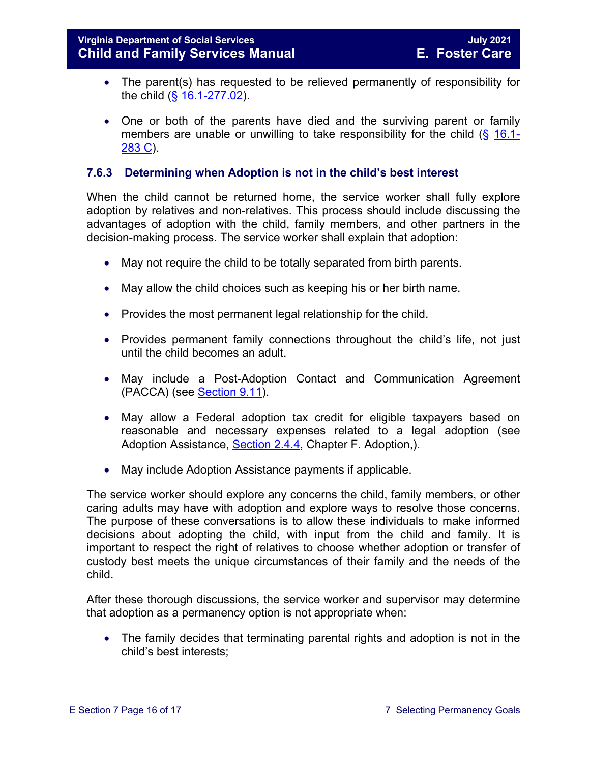- The parent(s) has requested to be relieved permanently of responsibility for the child (§ [16.1-277.02\)](https://law.lis.virginia.gov/vacode/16.1-277.02/).
- One or both of the parents have died and the surviving parent or family members are unable or unwilling to take responsibility for the child  $(\S 16.1-)$  $(\S 16.1-)$  $(\S 16.1-)$ [283 C\)](https://law.lis.virginia.gov/vacode/16.1-283/).

#### <span id="page-15-0"></span>**7.6.3 Determining when Adoption is not in the child's best interest**

When the child cannot be returned home, the service worker shall fully explore adoption by relatives and non-relatives. This process should include discussing the advantages of adoption with the child, family members, and other partners in the decision-making process. The service worker shall explain that adoption:

- May not require the child to be totally separated from birth parents.
- May allow the child choices such as keeping his or her birth name.
- Provides the most permanent legal relationship for the child.
- Provides permanent family connections throughout the child's life, not just until the child becomes an adult.
- May include a Post-Adoption Contact and Communication Agreement (PACCA) (see [Section 9.11\)](https://fusion.dss.virginia.gov/Portals/%5bdfs%5d/Files/DFS%20Manuals/Foster%20Care%20Manuals/Foster%20Care%20Manual%2007-2020/Final%20Foster%20Care%20Manual%2007-2020/section_9_achieving_permanency_goal_adoption.pdf#page=33).
- May allow a Federal adoption tax credit for eligible taxpayers based on reasonable and necessary expenses related to a legal adoption (see Adoption Assistance, [Section 2.4.4,](https://fusion.dss.virginia.gov/Portals/%5Bdfs%5D/Files/Adoption/Guidance/2020/section_2_adoption%20assistance.pdf#page=13) Chapter F. Adoption,).
- May include Adoption Assistance payments if applicable.

The service worker should explore any concerns the child, family members, or other caring adults may have with adoption and explore ways to resolve those concerns. The purpose of these conversations is to allow these individuals to make informed decisions about adopting the child, with input from the child and family. It is important to respect the right of relatives to choose whether adoption or transfer of custody best meets the unique circumstances of their family and the needs of the child.

After these thorough discussions, the service worker and supervisor may determine that adoption as a permanency option is not appropriate when:

• The family decides that terminating parental rights and adoption is not in the child's best interests;